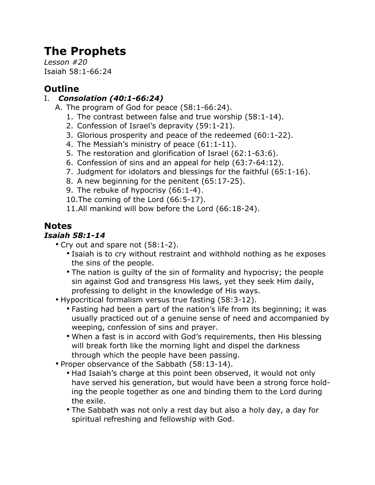# **The Prophets**

*Lesson #20* Isaiah 58:1-66:24

# **Outline**

## I. *Consolation (40:1-66:24)*

- A. The program of God for peace (58:1-66:24).
	- 1. The contrast between false and true worship (58:1-14).
	- 2. Confession of Israel's depravity (59:1-21).
	- 3. Glorious prosperity and peace of the redeemed (60:1-22).
	- 4. The Messiah's ministry of peace (61:1-11).
	- 5. The restoration and glorification of Israel (62:1-63:6).
	- 6. Confession of sins and an appeal for help (63:7-64:12).
	- 7. Judgment for idolators and blessings for the faithful (65:1-16).
	- 8. A new beginning for the penitent (65:17-25).
	- 9. The rebuke of hypocrisy (66:1-4).
	- 10.The coming of the Lord (66:5-17).
	- 11.All mankind will bow before the Lord (66:18-24).

## **Notes**

## *Isaiah 58:1-14*

- Cry out and spare not (58:1-2).
	- Isaiah is to cry without restraint and withhold nothing as he exposes the sins of the people.
	- The nation is guilty of the sin of formality and hypocrisy; the people sin against God and transgress His laws, yet they seek Him daily, professing to delight in the knowledge of His ways.
- Hypocritical formalism versus true fasting (58:3-12).
	- Fasting had been a part of the nation's life from its beginning; it was usually practiced out of a genuine sense of need and accompanied by weeping, confession of sins and prayer.
	- When a fast is in accord with God's requirements, then His blessing will break forth like the morning light and dispel the darkness through which the people have been passing.
- Proper observance of the Sabbath (58:13-14).
	- Had Isaiah's charge at this point been observed, it would not only have served his generation, but would have been a strong force holding the people together as one and binding them to the Lord during the exile.
	- The Sabbath was not only a rest day but also a holy day, a day for spiritual refreshing and fellowship with God.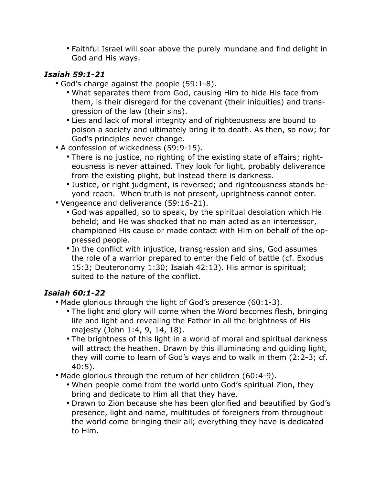• Faithful Israel will soar above the purely mundane and find delight in God and His ways.

## *Isaiah 59:1-21*

- God's charge against the people (59:1-8).
	- What separates them from God, causing Him to hide His face from them, is their disregard for the covenant (their iniquities) and transgression of the law (their sins).
	- Lies and lack of moral integrity and of righteousness are bound to poison a society and ultimately bring it to death. As then, so now; for God's principles never change.
- A confession of wickedness (59:9-15).
	- There is no justice, no righting of the existing state of affairs; righteousness is never attained. They look for light, probably deliverance from the existing plight, but instead there is darkness.
	- Justice, or right judgment, is reversed; and righteousness stands beyond reach. When truth is not present, uprightness cannot enter.
- Vengeance and deliverance (59:16-21).
	- God was appalled, so to speak, by the spiritual desolation which He beheld; and He was shocked that no man acted as an intercessor, championed His cause or made contact with Him on behalf of the oppressed people.
	- In the conflict with injustice, transgression and sins, God assumes the role of a warrior prepared to enter the field of battle (cf. Exodus 15:3; Deuteronomy 1:30; Isaiah 42:13). His armor is spiritual; suited to the nature of the conflict.

## *Isaiah 60:1-22*

• Made glorious through the light of God's presence (60:1-3).

- The light and glory will come when the Word becomes flesh, bringing life and light and revealing the Father in all the brightness of His majesty (John 1:4, 9, 14, 18).
- The brightness of this light in a world of moral and spiritual darkness will attract the heathen. Drawn by this illuminating and guiding light, they will come to learn of God's ways and to walk in them (2:2-3; cf. 40:5).
- Made glorious through the return of her children (60:4-9).
	- When people come from the world unto God's spiritual Zion, they bring and dedicate to Him all that they have.
	- Drawn to Zion because she has been glorified and beautified by God's presence, light and name, multitudes of foreigners from throughout the world come bringing their all; everything they have is dedicated to Him.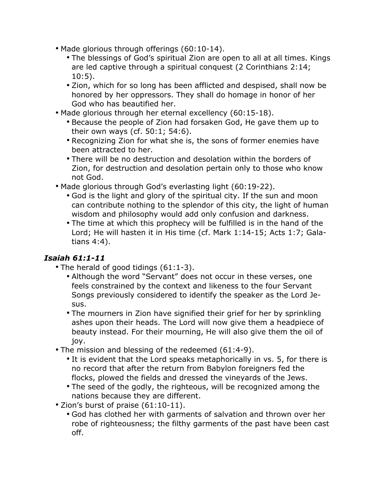- Made glorious through offerings (60:10-14).
	- The blessings of God's spiritual Zion are open to all at all times. Kings are led captive through a spiritual conquest (2 Corinthians 2:14; 10:5).
	- Zion, which for so long has been afflicted and despised, shall now be honored by her oppressors. They shall do homage in honor of her God who has beautified her.
- Made glorious through her eternal excellency (60:15-18).
	- Because the people of Zion had forsaken God, He gave them up to their own ways (cf. 50:1; 54:6).
	- Recognizing Zion for what she is, the sons of former enemies have been attracted to her.
	- There will be no destruction and desolation within the borders of Zion, for destruction and desolation pertain only to those who know not God.
- Made glorious through God's everlasting light (60:19-22).
	- God is the light and glory of the spiritual city. If the sun and moon can contribute nothing to the splendor of this city, the light of human wisdom and philosophy would add only confusion and darkness.
	- The time at which this prophecy will be fulfilled is in the hand of the Lord; He will hasten it in His time (cf. Mark 1:14-15; Acts 1:7; Galatians 4:4).

## *Isaiah 61:1-11*

- The herald of good tidings (61:1-3).
	- Although the word "Servant" does not occur in these verses, one feels constrained by the context and likeness to the four Servant Songs previously considered to identify the speaker as the Lord Jesus.
	- The mourners in Zion have signified their grief for her by sprinkling ashes upon their heads. The Lord will now give them a headpiece of beauty instead. For their mourning, He will also give them the oil of joy.
- The mission and blessing of the redeemed (61:4-9).
	- It is evident that the Lord speaks metaphorically in vs. 5, for there is no record that after the return from Babylon foreigners fed the flocks, plowed the fields and dressed the vineyards of the Jews.
	- The seed of the godly, the righteous, will be recognized among the nations because they are different.
- Zion's burst of praise (61:10-11).
	- God has clothed her with garments of salvation and thrown over her robe of righteousness; the filthy garments of the past have been cast off.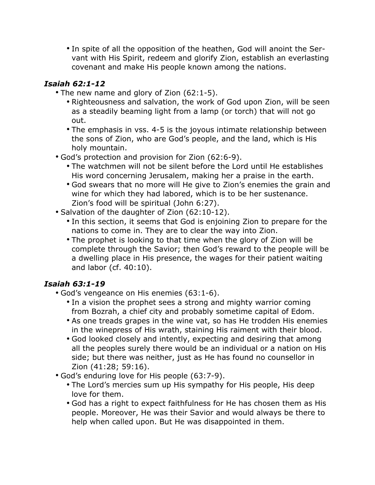• In spite of all the opposition of the heathen, God will anoint the Servant with His Spirit, redeem and glorify Zion, establish an everlasting covenant and make His people known among the nations.

## *Isaiah 62:1-12*

- The new name and glory of Zion (62:1-5).
	- Righteousness and salvation, the work of God upon Zion, will be seen as a steadily beaming light from a lamp (or torch) that will not go out.
	- The emphasis in vss. 4-5 is the joyous intimate relationship between the sons of Zion, who are God's people, and the land, which is His holy mountain.
- God's protection and provision for Zion (62:6-9).
	- The watchmen will not be silent before the Lord until He establishes His word concerning Jerusalem, making her a praise in the earth.
	- God swears that no more will He give to Zion's enemies the grain and wine for which they had labored, which is to be her sustenance. Zion's food will be spiritual (John 6:27).
- Salvation of the daughter of Zion (62:10-12).
	- In this section, it seems that God is enjoining Zion to prepare for the nations to come in. They are to clear the way into Zion.
	- The prophet is looking to that time when the glory of Zion will be complete through the Savior; then God's reward to the people will be a dwelling place in His presence, the wages for their patient waiting and labor (cf. 40:10).

## *Isaiah 63:1-19*

- God's vengeance on His enemies (63:1-6).
	- In a vision the prophet sees a strong and mighty warrior coming from Bozrah, a chief city and probably sometime capital of Edom.
	- As one treads grapes in the wine vat, so has He trodden His enemies in the winepress of His wrath, staining His raiment with their blood.
	- God looked closely and intently, expecting and desiring that among all the peoples surely there would be an individual or a nation on His side; but there was neither, just as He has found no counsellor in Zion (41:28; 59:16).
- God's enduring love for His people (63:7-9).
	- The Lord's mercies sum up His sympathy for His people, His deep love for them.
	- God has a right to expect faithfulness for He has chosen them as His people. Moreover, He was their Savior and would always be there to help when called upon. But He was disappointed in them.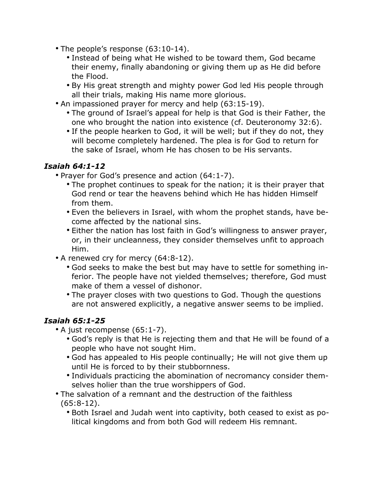- The people's response (63:10-14).
	- Instead of being what He wished to be toward them, God became their enemy, finally abandoning or giving them up as He did before the Flood.
	- By His great strength and mighty power God led His people through all their trials, making His name more glorious.
- An impassioned prayer for mercy and help (63:15-19).
	- The ground of Israel's appeal for help is that God is their Father, the one who brought the nation into existence (cf. Deuteronomy 32:6).
	- If the people hearken to God, it will be well; but if they do not, they will become completely hardened. The plea is for God to return for the sake of Israel, whom He has chosen to be His servants.

#### *Isaiah 64:1-12*

- Prayer for God's presence and action (64:1-7).
	- The prophet continues to speak for the nation; it is their prayer that God rend or tear the heavens behind which He has hidden Himself from them.
	- Even the believers in Israel, with whom the prophet stands, have become affected by the national sins.
	- Either the nation has lost faith in God's willingness to answer prayer, or, in their uncleanness, they consider themselves unfit to approach Him.
- A renewed cry for mercy (64:8-12).
	- God seeks to make the best but may have to settle for something inferior. The people have not yielded themselves; therefore, God must make of them a vessel of dishonor.
	- The prayer closes with two questions to God. Though the questions are not answered explicitly, a negative answer seems to be implied.

## *Isaiah 65:1-25*

- A just recompense (65:1-7).
	- God's reply is that He is rejecting them and that He will be found of a people who have not sought Him.
	- God has appealed to His people continually; He will not give them up until He is forced to by their stubbornness.
	- Individuals practicing the abomination of necromancy consider themselves holier than the true worshippers of God.
- The salvation of a remnant and the destruction of the faithless (65:8-12).
	- Both Israel and Judah went into captivity, both ceased to exist as political kingdoms and from both God will redeem His remnant.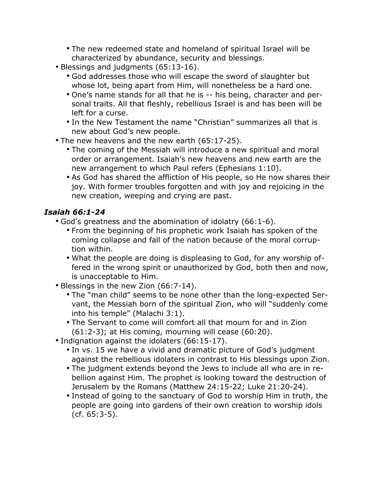- The new redeemed state and homeland of spiritual Israel will be characterized by abundance, security and blessings.
- Blessings and judgments (65:13-16).
	- God addresses those who will escape the sword of slaughter but whose lot, being apart from Him, will nonetheless be a hard one.
	- One's name stands for all that he is -- his being, character and personal traits. All that fleshly, rebellious Israel is and has been will be left for a curse.
	- In the New Testament the name "Christian" summarizes all that is new about God's new people.
- The new heavens and the new earth (65:17-25).
	- The coming of the Messiah will introduce a new spiritual and moral order or arrangement. Isaiah's new heavens and new earth are the new arrangement to which Paul refers (Ephesians 1:10).
	- As God has shared the affliction of His people, so He now shares their joy. With former troubles forgotten and with joy and rejoicing in the new creation, weeping and crying are past.

### *Isaiah 66:1-24*

• God's greatness and the abomination of idolatry (66:1-6).

- From the beginning of his prophetic work Isaiah has spoken of the coming collapse and fall of the nation because of the moral corruption within.
- What the people are doing is displeasing to God, for any worship offered in the wrong spirit or unauthorized by God, both then and now, is unacceptable to Him.
- Blessings in the new Zion (66:7-14).
	- The "man child" seems to be none other than the long-expected Servant, the Messiah born of the spiritual Zion, who will "suddenly come into his temple" (Malachi 3:1).
	- The Servant to come will comfort all that mourn for and in Zion  $(61:2-3)$ ; at His coming, mourning will cease  $(60:20)$ .
- Indignation against the idolaters (66:15-17).
	- In vs. 15 we have a vivid and dramatic picture of God's judgment against the rebellious idolaters in contrast to His blessings upon Zion.
	- The judgment extends beyond the Jews to include all who are in rebellion against Him. The prophet is looking toward the destruction of Jerusalem by the Romans (Matthew 24:15-22; Luke 21:20-24).
	- Instead of going to the sanctuary of God to worship Him in truth, the people are going into gardens of their own creation to worship idols (cf. 65:3-5).